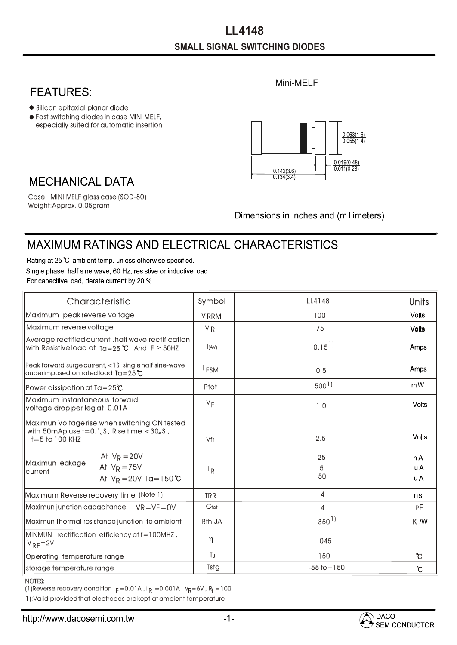## **SMALL SIGNAL SWITCHING DIODES L L4148**

## **FEATURES:**

- Silicon epitaxial planar diode
- especially suited for automatic insertion Fast switching diodes in case MINI MELF,



Mini-MELF

## **MECHANICAL DATA**

Weight:Approx. 0.05gram Case: MINI MELF glass case (SOD-80)

Dimensions in inches and (millimeters)

## **MAXIMUM RATINGS AND ELECTRICAL CHARACTERISTICS**

Rating at 25 °C ambient temp. unless otherwise specified. Single phase, half sine wave, 60 Hz, resistive or inductive load. For capacitive load, derate current by 20 %.

| Characteristic                                                                                                                                     | Symbol             | LL4148              | Units                  |
|----------------------------------------------------------------------------------------------------------------------------------------------------|--------------------|---------------------|------------------------|
| Maximum peak reverse voltage                                                                                                                       | <b>VRRM</b>        | 100                 | <b>Volts</b>           |
| Maximum reverse voltage                                                                                                                            | <b>VR</b>          | 75                  | <b>Volts</b>           |
| Average rectified current .half wave rectification<br>with Resistive load at $Ta = 25^{\circ}C$ And $F \ge 50$ HZ                                  | (AV)               | $0.15$ <sup>1</sup> | Amps                   |
| Peak forward surge current, <1\$ single half sine-wave<br>auperimposed on rated load $Ta = 25^{\circ}C$                                            | <sup>I</sup> FSM   | 0.5                 | Amps                   |
| Power dissipation at $Ta = 25^{\circ}C$                                                                                                            | Ptot               | 500 <sup>1</sup>    | mW                     |
| Maximum instantaneous forward<br>voltage drop per leg at 0.01A                                                                                     | $V_F$              | 1.0                 | <b>Volts</b>           |
| Maximun Voltage rise when switching ON tested<br>with 50 m Apluse $t = 0.1$ <sub>u</sub> S, Rise time $< 30$ <sub>u</sub> S,<br>$f = 5$ to 100 KHZ | Vfr                | 2.5                 | <b>Volts</b>           |
| At $V_R = 20V$<br>Maximun leakage<br>At $V_R = 75V$<br>current<br>At $V_R = 20V$ Ta=150 °C                                                         | ΙŖ                 | 25<br>5<br>50       | n A<br><b>uA</b><br>uA |
| Maximum Reverse recovery time (Note 1)                                                                                                             | <b>TRR</b>         | 4                   | ns                     |
| Maximun junction capacitance $VR=VF=OV$                                                                                                            | Ctot               | $\overline{4}$      | РF                     |
| Maximun Thermal resistance junction to ambient                                                                                                     | R <sub>th</sub> JA | $350^{1}$           | K M                    |
| MINMUN rectification efficiency at f=100MHZ,<br>$V_{RF} = 2V$                                                                                      | η                  | 045                 |                        |
| Operating temperature range                                                                                                                        | TJ                 | 150                 | $\mathcal{C}$          |
| storage temperature range                                                                                                                          | Tstg               | $-55$ to $+150$     | $\mathcal{C}$          |

NOTES:

(1)Reverse recovery condition I $_{\mathsf{F}}$  =0.01A , I $_{\mathsf{R}}$  =0.001A , V $_{\mathsf{R}}$ =6V , R $_{\mathsf{L}}$  =100

1):Valid provided that electrodes are kept at ambient temperature

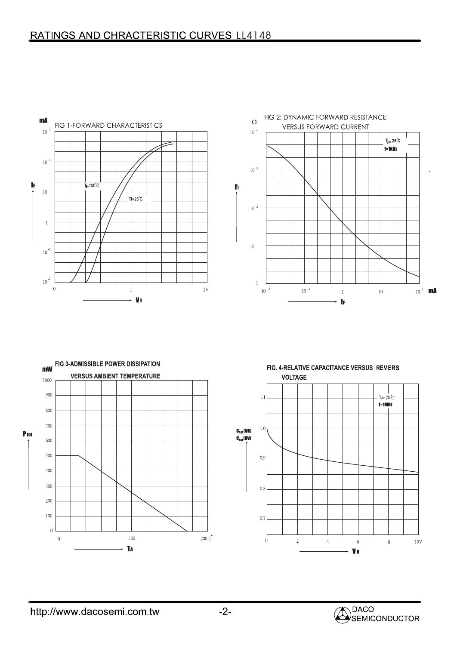



FIG. 4-RELATIVE CAPACITANCE VERSUS REVERS **VOLTAGE**